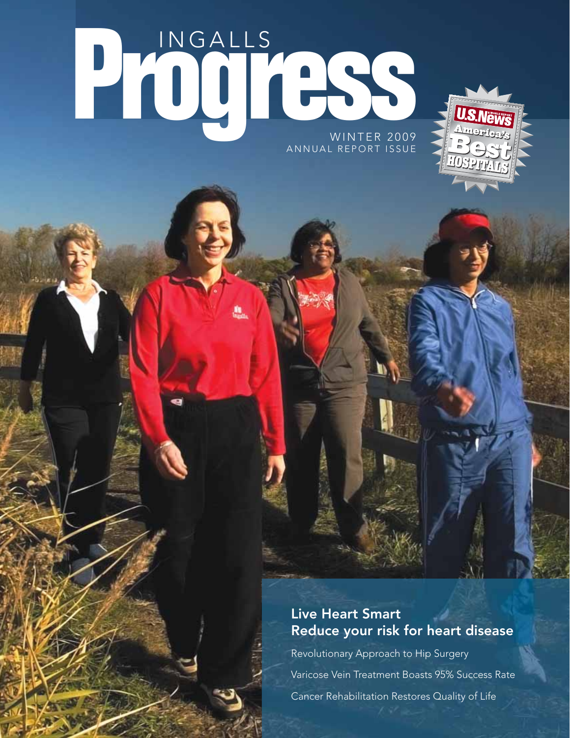# Progress WINTER 2009 ANNUAL REPORT ISSUE



## Live Heart Smart Reduce your risk for heart disease

Revolutionary Approach to Hip Surgery Varicose Vein Treatment Boasts 95% Success Rate Cancer Rehabilitation Restores Quality of Life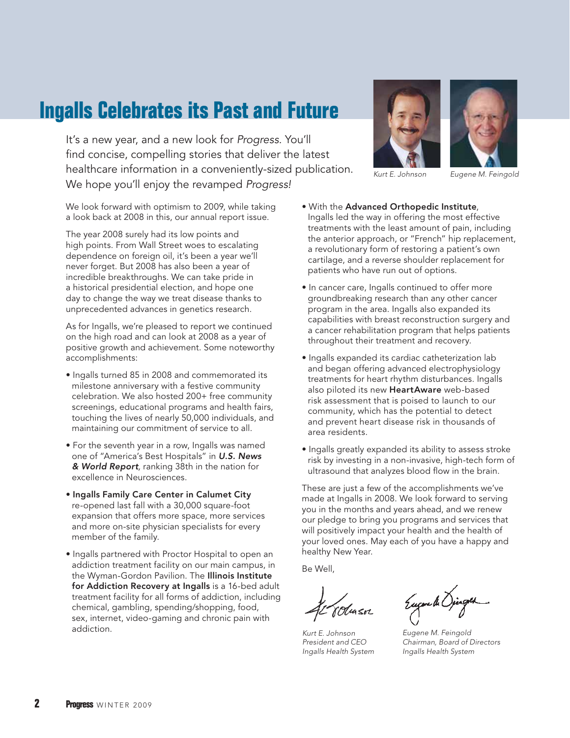## **Ingalls Celebrates its Past and Future**

It's a new year, and a new look for *Progress.* You'll find concise, compelling stories that deliver the latest healthcare information in a conveniently-sized publication. We hope you'll enjoy the revamped *Progress!*

We look forward with optimism to 2009, while taking a look back at 2008 in this, our annual report issue.

The year 2008 surely had its low points and high points. From Wall Street woes to escalating dependence on foreign oil, it's been a year we'll never forget. But 2008 has also been a year of incredible breakthroughs. We can take pride in a historical presidential election, and hope one day to change the way we treat disease thanks to unprecedented advances in genetics research.

As for Ingalls, we're pleased to report we continued on the high road and can look at 2008 as a year of positive growth and achievement. Some noteworthy accomplishments:

- Ingalls turned 85 in 2008 and commemorated its milestone anniversary with a festive community celebration. We also hosted 200+ free community screenings, educational programs and health fairs, touching the lives of nearly 50,000 individuals, and maintaining our commitment of service to all.
- For the seventh year in a row, Ingalls was named one of "America's Best Hospitals" in *U.S. News & World Report,* ranking 38th in the nation for excellence in Neurosciences.
- Ingalls Family Care Center in Calumet City re-opened last fall with a 30,000 square-foot expansion that offers more space, more services and more on-site physician specialists for every member of the family.
- Ingalls partnered with Proctor Hospital to open an addiction treatment facility on our main campus, in the Wyman-Gordon Pavilion. The Illinois Institute for Addiction Recovery at Ingalls is a 16-bed adult treatment facility for all forms of addiction, including chemical, gambling, spending/shopping, food, sex, internet, video-gaming and chronic pain with addiction.





*Kurt E. Johnson Eugene M. Feingold*

- With the Advanced Orthopedic Institute, Ingalls led the way in offering the most effective treatments with the least amount of pain, including the anterior approach, or "French" hip replacement, a revolutionary form of restoring a patient's own cartilage, and a reverse shoulder replacement for patients who have run out of options.
- In cancer care, Ingalls continued to offer more groundbreaking research than any other cancer program in the area. Ingalls also expanded its capabilities with breast reconstruction surgery and a cancer rehabilitation program that helps patients throughout their treatment and recovery.
- Ingalls expanded its cardiac catheterization lab and began offering advanced electrophysiology treatments for heart rhythm disturbances. Ingalls also piloted its new HeartAware web-based risk assessment that is poised to launch to our community, which has the potential to detect and prevent heart disease risk in thousands of area residents.
- Ingalls greatly expanded its ability to assess stroke risk by investing in a non-invasive, high-tech form of ultrasound that analyzes blood flow in the brain.

These are just a few of the accomplishments we've made at Ingalls in 2008. We look forward to serving you in the months and years ahead, and we renew our pledge to bring you programs and services that will positively impact your health and the health of your loved ones. May each of you have a happy and healthy New Year.

Be Well,

*Kurt E. Johnson President and CEO Ingalls Health System*

Eugene de Opingen

*Eugene M. Feingold Chairman, Board of Directors Ingalls Health System*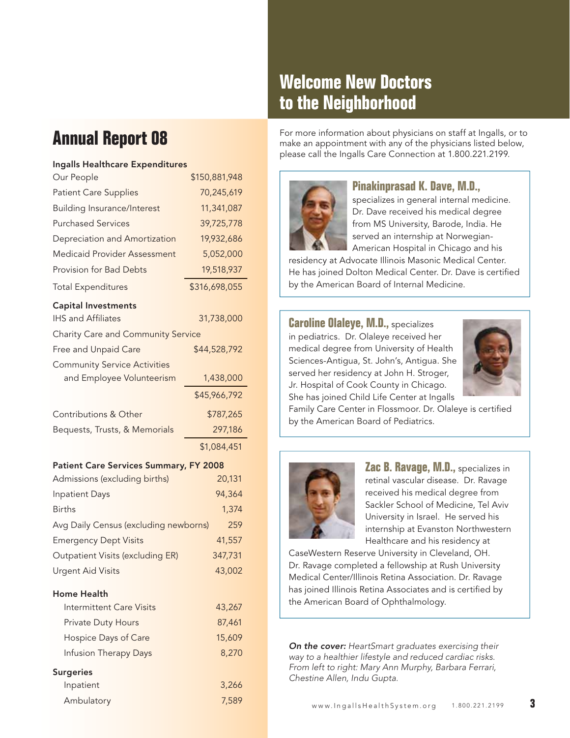## **Welcome New Doctors to the Neighborhood**

## **Annual Report 08**

#### Ingalls Healthcare Expenditures

| Our People                                    | \$150,881,948 |  |
|-----------------------------------------------|---------------|--|
| <b>Patient Care Supplies</b>                  | 70,245,619    |  |
| <b>Building Insurance/Interest</b>            | 11,341,087    |  |
| <b>Purchased Services</b>                     | 39,725,778    |  |
| Depreciation and Amortization                 | 19,932,686    |  |
| <b>Medicaid Provider Assessment</b>           | 5,052,000     |  |
| <b>Provision for Bad Debts</b>                | 19,518,937    |  |
| <b>Total Expenditures</b>                     | \$316,698,055 |  |
| <b>Capital Investments</b>                    |               |  |
| <b>IHS and Affiliates</b>                     | 31,738,000    |  |
| <b>Charity Care and Community Service</b>     |               |  |
| Free and Unpaid Care                          | \$44,528,792  |  |
| <b>Community Service Activities</b>           |               |  |
| and Employee Volunteerism                     | 1,438,000     |  |
|                                               | \$45,966,792  |  |
| Contributions & Other                         | \$787,265     |  |
| Bequests, Trusts, & Memorials                 | 297,186       |  |
|                                               | \$1,084,451   |  |
| <b>Patient Care Services Summary, FY 2008</b> |               |  |

| $\frac{1}{2}$ and $\frac{1}{2}$ and $\frac{1}{2}$ and $\frac{1}{2}$ and $\frac{1}{2}$ and $\frac{1}{2}$ and $\frac{1}{2}$ and $\frac{1}{2}$ and $\frac{1}{2}$ and $\frac{1}{2}$ and $\frac{1}{2}$ and $\frac{1}{2}$ and $\frac{1}{2}$ and $\frac{1}{2}$ and $\frac{1}{2}$ and $\frac{1}{2}$ a |         |
|-----------------------------------------------------------------------------------------------------------------------------------------------------------------------------------------------------------------------------------------------------------------------------------------------|---------|
| Admissions (excluding births)                                                                                                                                                                                                                                                                 | 20,131  |
| <b>Inpatient Days</b>                                                                                                                                                                                                                                                                         | 94,364  |
| <b>Births</b>                                                                                                                                                                                                                                                                                 | 1,374   |
| Avg Daily Census (excluding newborns)<br>259                                                                                                                                                                                                                                                  |         |
| <b>Emergency Dept Visits</b>                                                                                                                                                                                                                                                                  | 41,557  |
| Outpatient Visits (excluding ER)                                                                                                                                                                                                                                                              | 347,731 |
| <b>Urgent Aid Visits</b>                                                                                                                                                                                                                                                                      | 43,002  |
|                                                                                                                                                                                                                                                                                               |         |

#### Home Health

| Intermittent Care Visits     | 43,267 |
|------------------------------|--------|
| <b>Private Duty Hours</b>    | 87,461 |
| Hospice Days of Care         | 15,609 |
| <b>Infusion Therapy Days</b> | 8,270  |
| Surgeries                    |        |
| Inpatient                    | 3,266  |

Ambulatory 7,589

For more information about physicians on staff at Ingalls, or to make an appointment with any of the physicians listed below, please call the Ingalls Care Connection at 1.800.221.2199.



### **Pinakinprasad K. Dave, M.D.,**

specializes in general internal medicine. Dr. Dave received his medical degree from MS University, Barode, India. He served an internship at Norwegian-

American Hospital in Chicago and his residency at Advocate Illinois Masonic Medical Center. He has joined Dolton Medical Center. Dr. Dave is certified by the American Board of Internal Medicine.

**Caroline Olaleye, M.D.,** specializes in pediatrics. Dr. Olaleye received her medical degree from University of Health Sciences-Antigua, St. John's, Antigua. She served her residency at John H. Stroger, Jr. Hospital of Cook County in Chicago. She has joined Child Life Center at Ingalls



Family Care Center in Flossmoor. Dr. Olaleye is certified by the American Board of Pediatrics.



**Zac B. Ravage, M.D., specializes in** retinal vascular disease. Dr. Ravage received his medical degree from Sackler School of Medicine, Tel Aviv University in Israel. He served his internship at Evanston Northwestern Healthcare and his residency at

CaseWestern Reserve University in Cleveland, OH. Dr. Ravage completed a fellowship at Rush University Medical Center/Illinois Retina Association. Dr. Ravage has joined Illinois Retina Associates and is certified by the American Board of Ophthalmology.

*On the cover: HeartSmart graduates exercising their way to a healthier lifestyle and reduced cardiac risks. From left to right: Mary Ann Murphy, Barbara Ferrari, Chestine Allen, Indu Gupta.*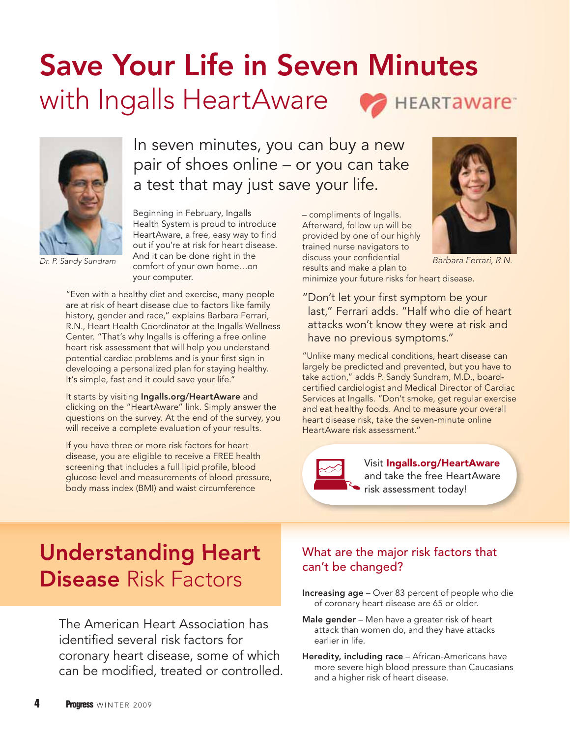# Save Your Life in Seven Minutes with Ingalls HeartAware **HEARTAWAre**



*Dr. P. Sandy Sundram*

In seven minutes, you can buy a new pair of shoes online – or you can take a test that may just save your life.

Beginning in February, Ingalls Health System is proud to introduce HeartAware, a free, easy way to find out if you're at risk for heart disease. And it can be done right in the comfort of your own home…on your computer.

"Even with a healthy diet and exercise, many people are at risk of heart disease due to factors like family history, gender and race," explains Barbara Ferrari, R.N., Heart Health Coordinator at the Ingalls Wellness Center. "That's why Ingalls is offering a free online heart risk assessment that will help you understand potential cardiac problems and is your first sign in developing a personalized plan for staying healthy. It's simple, fast and it could save your life."

It starts by visiting Ingalls.org/HeartAware and clicking on the "HeartAware" link. Simply answer the questions on the survey. At the end of the survey, you will receive a complete evaluation of your results.

If you have three or more risk factors for heart disease, you are eligible to receive a FREE health screening that includes a full lipid profile, blood glucose level and measurements of blood pressure, body mass index (BMI) and waist circumference

– compliments of Ingalls. Afterward, follow up will be provided by one of our highly trained nurse navigators to discuss your confidential results and make a plan to minimize your future risks for heart disease.



*Barbara Ferrari, R.N.*

"Don't let your first symptom be your last," Ferrari adds. "Half who die of heart attacks won't know they were at risk and have no previous symptoms."

"Unlike many medical conditions, heart disease can largely be predicted and prevented, but you have to take action," adds P. Sandy Sundram, M.D., boardcertified cardiologist and Medical Director of Cardiac Services at Ingalls. "Don't smoke, get regular exercise and eat healthy foods. And to measure your overall heart disease risk, take the seven-minute online HeartAware risk assessment."



Visit Ingalls.org/HeartAware and take the free HeartAware risk assessment today!

# Understanding Heart Disease Risk Factors

The American Heart Association has identified several risk factors for coronary heart disease, some of which can be modified, treated or controlled.

## **Heart** What are the major risk factors that can't be changed?

- Increasing age Over 83 percent of people who die of coronary heart disease are 65 or older.
- Male gender Men have a greater risk of heart attack than women do, and they have attacks earlier in life.
- Heredity, including race African-Americans have more severe high blood pressure than Caucasians and a higher risk of heart disease.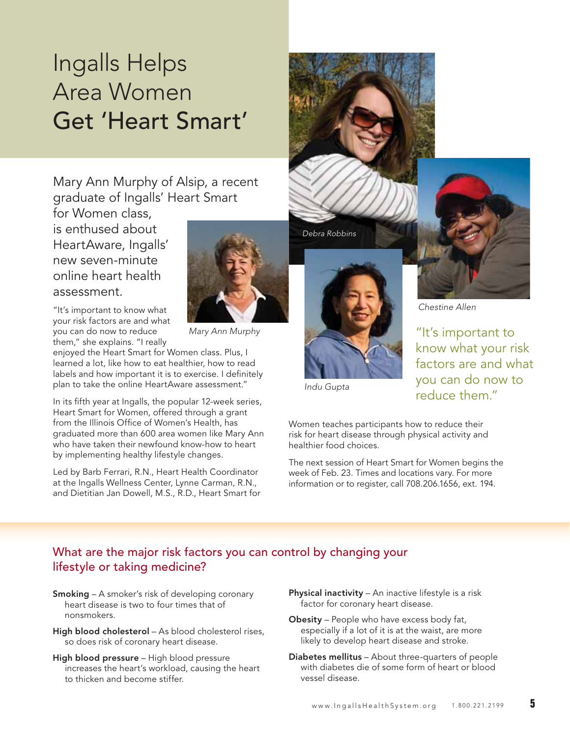# Ingalls Helps Area Women Get 'Heart Smart'

Mary Ann Murphy of Alsip, a recent graduate of Ingalls' Heart Smart

for Women class, is enthused about HeartAware, Ingalls' new seven-minute online heart health assessment.

"It's important to know what your risk factors are and what you can do now to reduce them," she explains. "I really

enjoyed the Heart Smart for Women class. Plus, I learned a lot, like how to eat healthier, how to read labels and how important it is to exercise. I definitely plan to take the online HeartAware assessment."

In its fifth year at Ingalls, the popular 12-week series, Heart Smart for Women, offered through a grant from the Illinois Office of Women's Health, has graduated more than 600 area women like Mary Ann who have taken their newfound know-how to heart by implementing healthy lifestyle changes.

Led by Barb Ferrari, R.N., Heart Health Coordinator at the Ingalls Wellness Center, Lynne Carman, R.N., and Dietitian Jan Dowell, M.S., R.D., Heart Smart for



*Mary Ann Murphy*



*Debra Robbins*



*Chestine Allen*

"It's important to know what your risk factors are and what you can do now to reduce them."

*Indu Gupta*

Women teaches participants how to reduce their risk for heart disease through physical activity and healthier food choices.

The next session of Heart Smart for Women begins the week of Feb. 23. Times and locations vary. For more information or to register, call 708.206.1656, ext. 194.

## What are the major risk factors you can control by changing your lifestyle or taking medicine?

- Smoking A smoker's risk of developing coronary heart disease is two to four times that of nonsmokers.
- High blood cholesterol As blood cholesterol rises, so does risk of coronary heart disease.
- High blood pressure High blood pressure increases the heart's workload, causing the heart to thicken and become stiffer.
- Physical inactivity An inactive lifestyle is a risk factor for coronary heart disease.
- Obesity People who have excess body fat, especially if a lot of it is at the waist, are more likely to develop heart disease and stroke.
- Diabetes mellitus About three-quarters of people with diabetes die of some form of heart or blood vessel disease.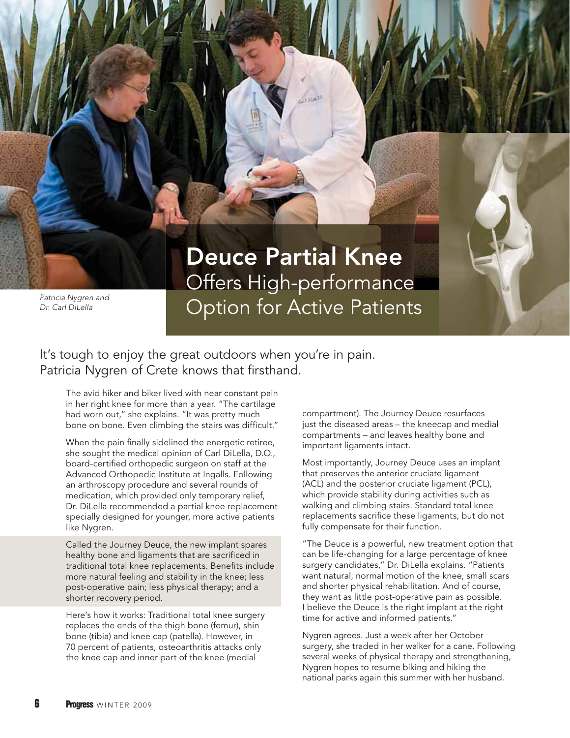

# Deuce Partial Knee Offers High-performance **Option for Active Patients**

## It's tough to enjoy the great outdoors when you're in pain. Patricia Nygren of Crete knows that firsthand.

The avid hiker and biker lived with near constant pain in her right knee for more than a year. "The cartilage had worn out," she explains. "It was pretty much bone on bone. Even climbing the stairs was difficult."

When the pain finally sidelined the energetic retiree, she sought the medical opinion of Carl DiLella, D.O., board-certified orthopedic surgeon on staff at the Advanced Orthopedic Institute at Ingalls. Following an arthroscopy procedure and several rounds of medication, which provided only temporary relief, Dr. DiLella recommended a partial knee replacement specially designed for younger, more active patients like Nygren.

Called the Journey Deuce, the new implant spares healthy bone and ligaments that are sacrificed in traditional total knee replacements. Benefits include more natural feeling and stability in the knee; less post-operative pain; less physical therapy; and a a shorter recovery period. period.

Here's how it works: Traditional total knee surgery replaces the ends of the thigh bone (femur), shin bone (tibia) and knee cap (patella). However, in 70 percent of patients, osteoarthritis attacks only the knee cap and inner part of the knee (medial

compartment). The Journey Deuce resurfaces just the diseased areas – the kneecap and medial compartments – and leaves healthy bone and important ligaments intact.

Most importantly, Journey Deuce uses an implant that preserves the anterior cruciate ligament (ACL) and the posterior cruciate ligament (PCL), which provide stability during activities such as walking and climbing stairs. Standard total knee replacements sacrifice these ligaments, but do not fully compensate for their function.

"The Deuce is a powerful, new treatment option that can be life-changing for a large percentage of knee surgery candidates," Dr. DiLella explains. "Patients want natural, normal motion of the knee, small scars and shorter physical rehabilitation. And of course, they want as little post-operative pain as possible. I believe the Deuce is the right implant at the right time for active and informed patients."

Nygren agrees. Just a week after her October surgery, she traded in her walker for a cane. Following several weeks of physical therapy and strengthening, Nygren hopes to resume biking and hiking the national parks again this summer with her husband.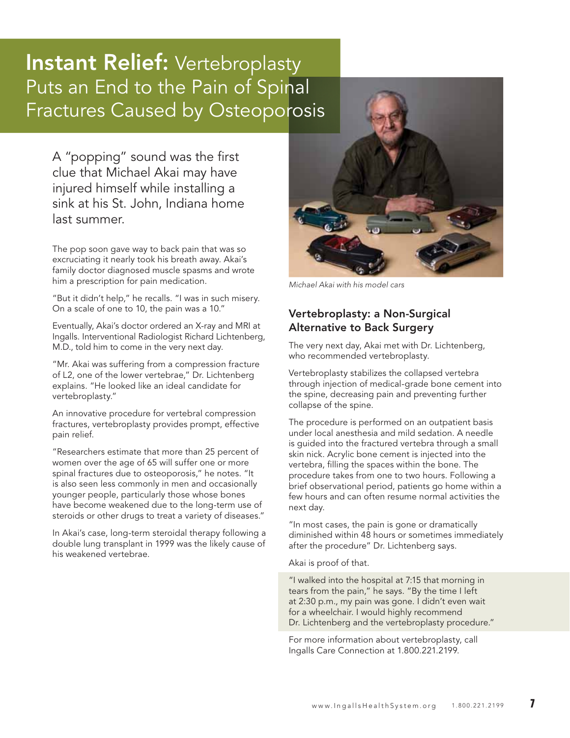## **Instant Relief:** Vertebroplasty Puts an End to the Pain of Spinal Fractures Caused by Osteoporosis

A "popping" sound was the first clue that Michael Akai may have injured himself while installing a sink at his St. John, Indiana home last summer.

The pop soon gave way to back pain that was so excruciating it nearly took his breath away. Akai's family doctor diagnosed muscle spasms and wrote him a prescription for pain medication.

"But it didn't help," he recalls. "I was in such misery. On a scale of one to 10, the pain was a 10."

Eventually, Akai's doctor ordered an X-ray and MRI at Ingalls. Interventional Radiologist Richard Lichtenberg, M.D., told him to come in the very next day.

"Mr. Akai was suffering from a compression fracture of L2, one of the lower vertebrae," Dr. Lichtenberg explains. "He looked like an ideal candidate for vertebroplasty."

An innovative procedure for vertebral compression fractures, vertebroplasty provides prompt, effective pain relief.

"Researchers estimate that more than 25 percent of women over the age of 65 will suffer one or more spinal fractures due to osteoporosis," he notes. "It is also seen less commonly in men and occasionally younger people, particularly those whose bones have become weakened due to the long-term use of steroids or other drugs to treat a variety of diseases."

In Akai's case, long-term steroidal therapy following a double lung transplant in 1999 was the likely cause of his weakened vertebrae.



*Michael Akai with his model cars*

### Vertebroplasty: a Non-Surgical Alternative to Back Surgery

The very next day, Akai met with Dr. Lichtenberg, who recommended vertebroplasty.

Vertebroplasty stabilizes the collapsed vertebra through injection of medical-grade bone cement into the spine, decreasing pain and preventing further collapse of the spine.

The procedure is performed on an outpatient basis under local anesthesia and mild sedation. A needle is guided into the fractured vertebra through a small skin nick. Acrylic bone cement is injected into the vertebra, filling the spaces within the bone. The procedure takes from one to two hours. Following a brief observational period, patients go home within a few hours and can often resume normal activities the next day.

"In most cases, the pain is gone or dramatically diminished within 48 hours or sometimes immediately after the procedure" Dr. Lichtenberg says.

Akai is proof of that.

"I walked into the hospital at 7:15 that morning in tears from the pain," he says. "By the time I left at 2:30 p.m., my pain was gone. I didn't even wait for a wheelchair. I would highly recommend Dr. Lichtenberg and the vertebroplasty procedure."

For more information about vertebroplasty, call Ingalls Care Connection at 1.800.221.2199.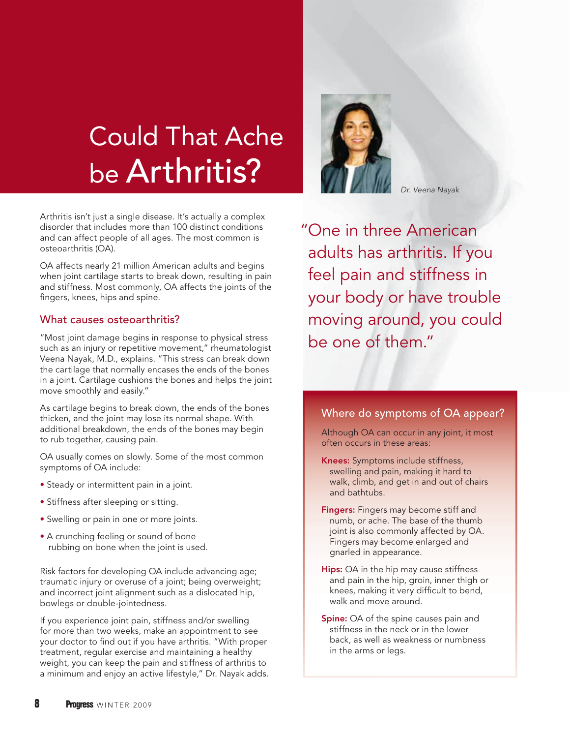# Could That Ache be Arthritis?

Arthritis isn't just a single disease. It's actually a complex disorder that includes more than 100 distinct conditions and can affect people of all ages. The most common is osteoarthritis (OA).

OA affects nearly 21 million American adults and begins when joint cartilage starts to break down, resulting in pain and stiffness. Most commonly, OA affects the joints of the fingers, knees, hips and spine.

#### What causes osteoarthritis?

"Most joint damage begins in response to physical stress such as an injury or repetitive movement," rheumatologist Veena Nayak, M.D., explains. "This stress can break down the cartilage that normally encases the ends of the bones in a joint. Cartilage cushions the bones and helps the joint move smoothly and easily."

As cartilage begins to break down, the ends of the bones thicken, and the joint may lose its normal shape. With additional breakdown, the ends of the bones may begin to rub together, causing pain.

OA usually comes on slowly. Some of the most common symptoms of OA include:

- Steady or intermittent pain in a joint.
- Stiffness after sleeping or sitting.
- Swelling or pain in one or more joints.
- A crunching feeling or sound of bone rubbing on bone when the joint is used.

Risk factors for developing OA include advancing age; traumatic injury or overuse of a joint; being overweight; and incorrect joint alignment such as a dislocated hip, bowlegs or double-jointedness.

If you experience joint pain, stiffness and/or swelling for more than two weeks, make an appointment to see your doctor to find out if you have arthritis. "With proper treatment, regular exercise and maintaining a healthy weight, you can keep the pain and stiffness of arthritis to a minimum and enjoy an active lifestyle," Dr. Nayak adds.



*Dr. Veena Nayak*

" One in three American adults has arthritis. If you feel pain and stiffness in your body or have trouble moving around, you could be one of them."

#### Where do symptoms of OA appear?

Although OA can occur in any joint, it most often occurs in these areas:

- Knees: Symptoms include stiffness, swelling and pain, making it hard to walk, climb, and get in and out of chairs and bathtubs.
- **Fingers:** Fingers may become stiff and numb, or ache. The base of the thumb joint is also commonly affected by OA. Fingers may become enlarged and gnarled in appearance.
- Hips: OA in the hip may cause stiffness and pain in the hip, groin, inner thigh or knees, making it very difficult to bend, walk and move around.
- **Spine:** OA of the spine causes pain and stiffness in the neck or in the lower back, as well as weakness or numbness in the arms or legs.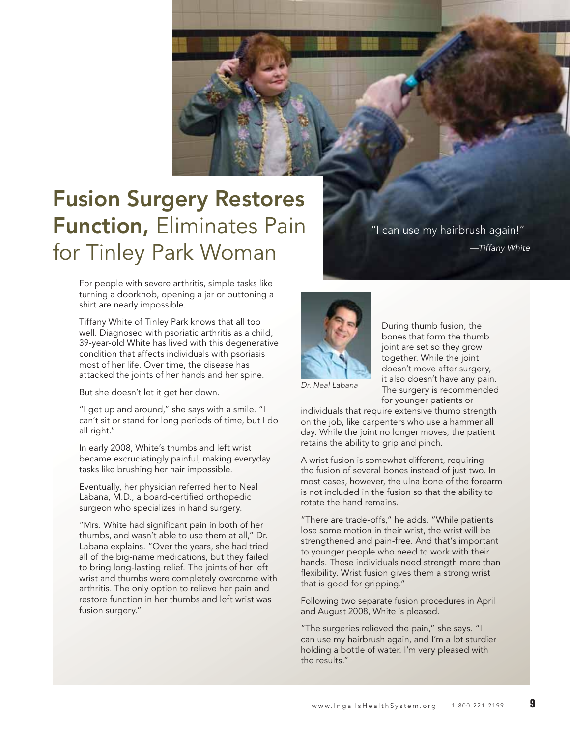

# Fusion Surgery Restores Function, Eliminates Pain for Tinley Park Woman

For people with severe arthritis, simple tasks like turning a doorknob, opening a jar or buttoning a shirt are nearly impossible.

Tiffany White of Tinley Park knows that all too well. Diagnosed with psoriatic arthritis as a child, 39-year-old White has lived with this degenerative condition that affects individuals with psoriasis most of her life. Over time, the disease has attacked the joints of her hands and her spine.

But she doesn't let it get her down.

"I get up and around," she says with a smile. "I can't sit or stand for long periods of time, but I do all right."

In early 2008, White's thumbs and left wrist became excruciatingly painful, making everyday tasks like brushing her hair impossible.

Eventually, her physician referred her to Neal Labana, M.D., a board-certified orthopedic surgeon who specializes in hand surgery.

"Mrs. White had significant pain in both of her thumbs, and wasn't able to use them at all," Dr. Labana explains. "Over the years, she had tried all of the big-name medications, but they failed to bring long-lasting relief. The joints of her left wrist and thumbs were completely overcome with arthritis. The only option to relieve her pain and restore function in her thumbs and left wrist was fusion surgery."

"I can use my hairbrush again!" *—Tiffany White*



During thumb fusion, the bones that form the thumb joint are set so they grow together. While the joint doesn't move after surgery, it also doesn't have any pain. The surgery is recommended for younger patients or

*Dr. Neal Labana*

individuals that require extensive thumb strength on the job, like carpenters who use a hammer all day. While the joint no longer moves, the patient retains the ability to grip and pinch.

A wrist fusion is somewhat different, requiring the fusion of several bones instead of just two. In most cases, however, the ulna bone of the forearm is not included in the fusion so that the ability to rotate the hand remains.

"There are trade-offs," he adds. "While patients lose some motion in their wrist, the wrist will be strengthened and pain-free. And that's important to younger people who need to work with their hands. These individuals need strength more than flexibility. Wrist fusion gives them a strong wrist that is good for gripping."

Following two separate fusion procedures in April and August 2008, White is pleased.

"The surgeries relieved the pain," she says. "I can use my hairbrush again, and I'm a lot sturdier holding a bottle of water. I'm very pleased with the results."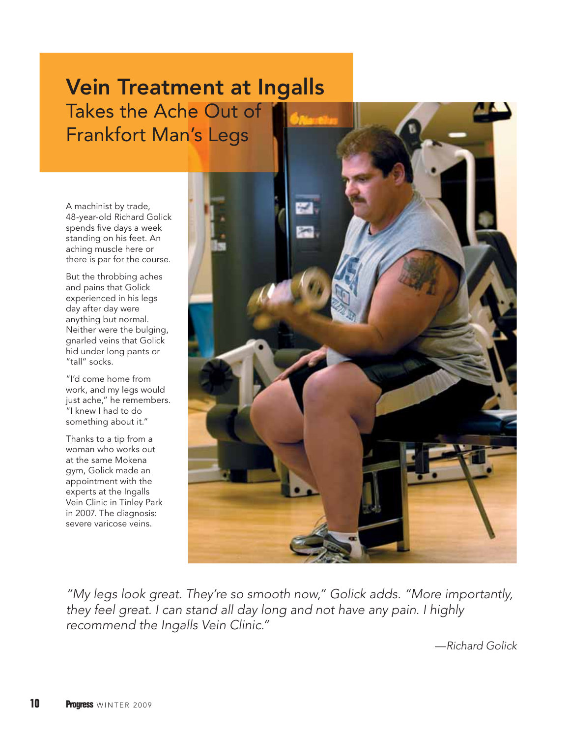# Vein Treatment at Ingalls Takes the Ache Out of Frankfort Man's Legs

A machinist by trade, 48-year-old Richard Golick spends five days a week standing on his feet. An aching muscle here or there is par for the course.

But the throbbing aches and pains that Golick experienced in his legs day after day were anything but normal. Neither were the bulging, gnarled veins that Golick hid under long pants or "tall" socks.

"I'd come home from work, and my legs would just ache," he remembers. "I knew I had to do something about it."

Thanks to a tip from a woman who works out at the same Mokena gym, Golick made an appointment with the experts at the Ingalls Vein Clinic in Tinley Park in 2007. The diagnosis: severe varicose veins.



*"My legs look great. They're so smooth now," Golick adds. "More importantly, they feel great. I can stand all day long and not have any pain. I highly recommend the Ingalls Vein Clinic."*

*—Richard Golick*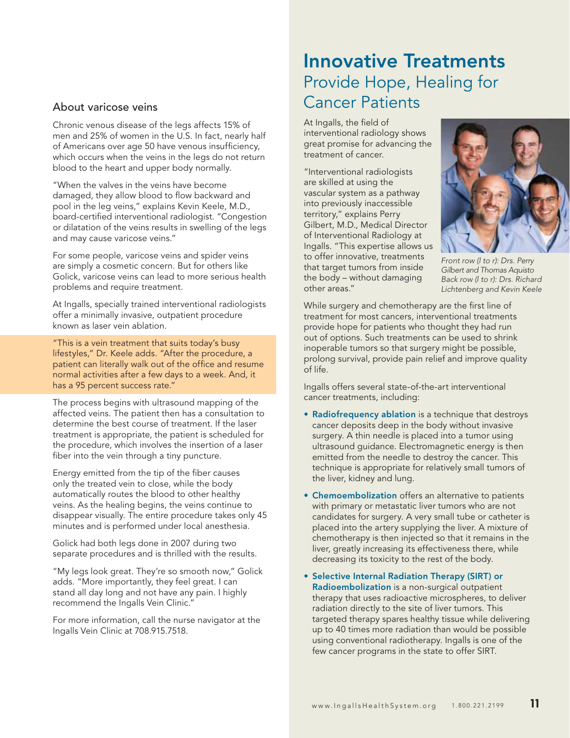#### About varicose veins

Chronic venous disease of the legs affects 15% of men and 25% of women in the U.S. In fact, nearly half of Americans over age 50 have venous insufficiency, which occurs when the veins in the legs do not return blood to the heart and upper body normally.

"When the valves in the veins have become damaged, they allow blood to flow backward and pool in the leg veins," explains Kevin Keele, M.D., board-certified interventional radiologist. "Congestion or dilatation of the veins results in swelling of the legs and may cause varicose veins."

For some people, varicose veins and spider veins are simply a cosmetic concern. But for others like Golick, varicose veins can lead to more serious health problems and require treatment.

At Ingalls, specially trained interventional radiologists offer a minimally invasive, outpatient procedure known as laser vein ablation.

"This is a vein treatment that suits today's busy lifestyles," Dr. Keele adds. "After the procedure, a patient can literally walk out of the office and resume normal activities after a few days to a week. And, it has a 95 percent success rate."

The process begins with ultrasound mapping of the affected veins. The patient then has a consultation to determine the best course of treatment. If the laser treatment is appropriate, the patient is scheduled for the procedure, which involves the insertion of a laser fiber into the vein through a tiny puncture.

Energy emitted from the tip of the fiber causes only the treated vein to close, while the body automatically routes the blood to other healthy veins. As the healing begins, the veins continue to disappear visually. The entire procedure takes only 45 minutes and is performed under local anesthesia.

Golick had both legs done in 2007 during two separate procedures and is thrilled with the results.

"My legs look great. They're so smooth now," Golick adds. "More importantly, they feel great. I can stand all day long and not have any pain. I highly recommend the Ingalls Vein Clinic."

For more information, call the nurse navigator at the Ingalls Vein Clinic at 708.915.7518.

## Innovative Treatments Provide Hope, Healing for Cancer Patients

At Ingalls, the field of interventional radiology shows great promise for advancing the treatment of cancer.

"Interventional radiologists are skilled at using the vascular system as a pathway into previously inaccessible territory," explains Perry Gilbert, M.D., Medical Director of Interventional Radiology at Ingalls. "This expertise allows us to offer innovative, treatments that target tumors from inside the body – without damaging other areas."



*Front row (l to r): Drs. Perry Gilbert and Thomas Aquisto Back row (l to r): Drs. Richard Lichtenberg and Kevin Keele*

While surgery and chemotherapy are the first line of treatment for most cancers, interventional treatments provide hope for patients who thought they had run out of options. Such treatments can be used to shrink inoperable tumors so that surgery might be possible, prolong survival, provide pain relief and improve quality of life.

Ingalls offers several state-of-the-art interventional cancer treatments, including:

- Radiofrequency ablation is a technique that destroys cancer deposits deep in the body without invasive surgery. A thin needle is placed into a tumor using ultrasound guidance. Electromagnetic energy is then emitted from the needle to destroy the cancer. This technique is appropriate for relatively small tumors of the liver, kidney and lung.
- Chemoembolization offers an alternative to patients with primary or metastatic liver tumors who are not candidates for surgery. A very small tube or catheter is placed into the artery supplying the liver. A mixture of chemotherapy is then injected so that it remains in the liver, greatly increasing its effectiveness there, while decreasing its toxicity to the rest of the body.
- Selective Internal Radiation Therapy (SIRT) or Radioembolization is a non-surgical outpatient therapy that uses radioactive microspheres, to deliver radiation directly to the site of liver tumors. This targeted therapy spares healthy tissue while delivering up to 40 times more radiation than would be possible using conventional radiotherapy. Ingalls is one of the few cancer programs in the state to offer SIRT.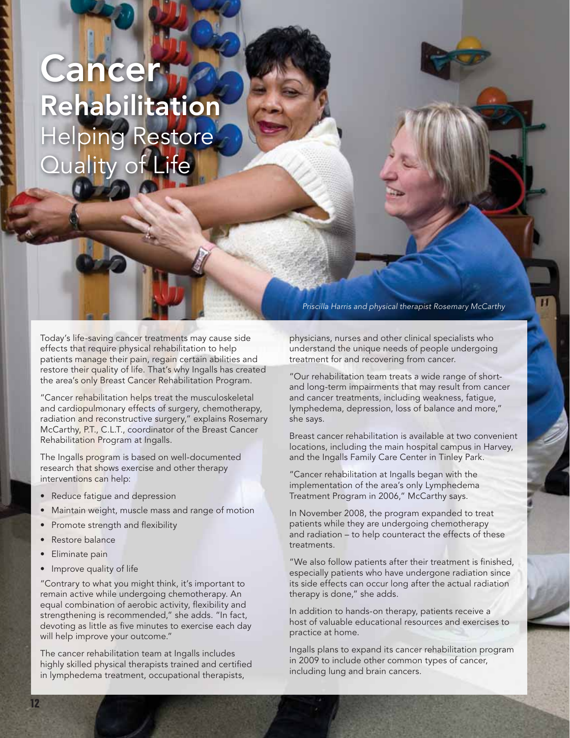# **Cancer** Rehabilitation Helping Restore Quality of Life

Today's life-saving cancer treatments may cause side effects that require physical rehabilitation to help patients manage their pain, regain certain abilities and restore their quality of life. That's why Ingalls has created the area's only Breast Cancer Rehabilitation Program.

"Cancer rehabilitation helps treat the musculoskeletal and cardiopulmonary effects of surgery, chemotherapy, radiation and reconstructive surgery," explains Rosemary McCarthy, P.T., C.L.T., coordinator of the Breast Cancer Rehabilitation Program at Ingalls.

The Ingalls program is based on well-documented research that shows exercise and other therapy interventions can help:

- Reduce fatigue and depression
- Maintain weight, muscle mass and range of motion
- Promote strength and flexibility
- Restore balance
- Eliminate pain
- Improve quality of life

"Contrary to what you might think, it's important to remain active while undergoing chemotherapy. An equal combination of aerobic activity, flexibility and strengthening is recommended," she adds. "In fact, devoting as little as five minutes to exercise each day will help improve your outcome."

The cancer rehabilitation team at Ingalls includes highly skilled physical therapists trained and certified in lymphedema treatment, occupational therapists,

*Priscilla Harris and physical therapist Rosemary McCarthy*

physicians, nurses and other clinical specialists who understand the unique needs of people undergoing treatment for and recovering from cancer.

"Our rehabilitation team treats a wide range of shortand long-term impairments that may result from cancer and cancer treatments, including weakness, fatigue, lymphedema, depression, loss of balance and more," she says.

Breast cancer rehabilitation is available at two convenient locations, including the main hospital campus in Harvey, and the Ingalls Family Care Center in Tinley Park.

"Cancer rehabilitation at Ingalls began with the implementation of the area's only Lymphedema Treatment Program in 2006," McCarthy says.

In November 2008, the program expanded to treat patients while they are undergoing chemotherapy and radiation – to help counteract the effects of these treatments.

"We also follow patients after their treatment is finished, especially patients who have undergone radiation since its side effects can occur long after the actual radiation therapy is done," she adds.

In addition to hands-on therapy, patients receive a host of valuable educational resources and exercises to practice at home.

Ingalls plans to expand its cancer rehabilitation program in 2009 to include other common types of cancer, including lung and brain cancers.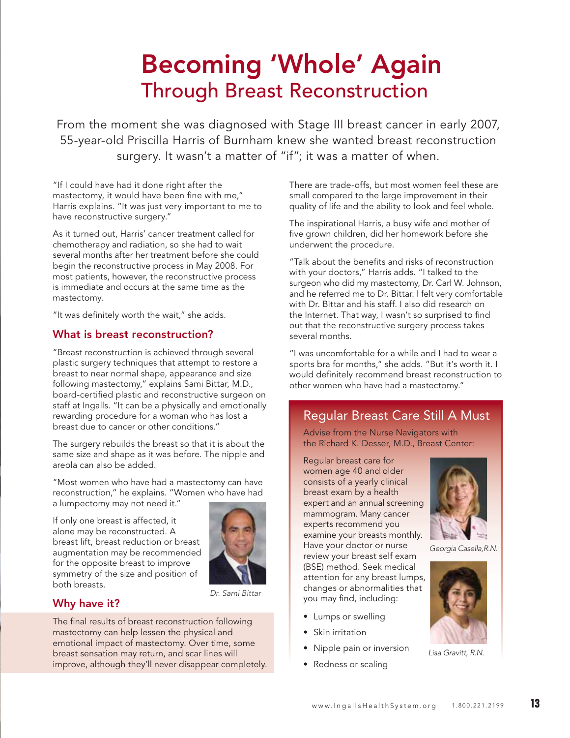# Becoming 'Whole' Again Through Breast Reconstruction

From the moment she was diagnosed with Stage III breast cancer in early 2007, 55-year-old Priscilla Harris of Burnham knew she wanted breast reconstruction surgery. It wasn't a matter of "if"; it was a matter of when.

"If I could have had it done right after the mastectomy, it would have been fine with me," Harris explains. "It was just very important to me to have reconstructive surgery."

As it turned out, Harris' cancer treatment called for chemotherapy and radiation, so she had to wait several months after her treatment before she could begin the reconstructive process in May 2008. For most patients, however, the reconstructive process is immediate and occurs at the same time as the mastectomy.

"It was definitely worth the wait," she adds.

#### What is breast reconstruction?

"Breast reconstruction is achieved through several plastic surgery techniques that attempt to restore a breast to near normal shape, appearance and size following mastectomy," explains Sami Bittar, M.D., board-certified plastic and reconstructive surgeon on staff at Ingalls. "It can be a physically and emotionally rewarding procedure for a woman who has lost a breast due to cancer or other conditions."

The surgery rebuilds the breast so that it is about the same size and shape as it was before. The nipple and areola can also be added.

"Most women who have had a mastectomy can have reconstruction," he explains. "Women who have had a lumpectomy may not need it."

If only one breast is affected, it alone may be reconstructed. A breast lift, breast reduction or breast augmentation may be recommended for the opposite breast to improve symmetry of the size and position of both breasts.



#### *Dr. Sami Bittar*

#### Why have it?

The final results of breast reconstruction following mastectomy can help lessen the physical and emotional impact of mastectomy. Over time, some breast sensation may return, and scar lines will improve, although they'll never disappear completely. There are trade-offs, but most women feel these are small compared to the large improvement in their quality of life and the ability to look and feel whole.

The inspirational Harris, a busy wife and mother of five grown children, did her homework before she underwent the procedure.

"Talk about the benefits and risks of reconstruction with your doctors," Harris adds. "I talked to the surgeon who did my mastectomy, Dr. Carl W. Johnson, and he referred me to Dr. Bittar. I felt very comfortable with Dr. Bittar and his staff. I also did research on the Internet. That way, I wasn't so surprised to find out that the reconstructive surgery process takes several months.

"I was uncomfortable for a while and I had to wear a sports bra for months," she adds. "But it's worth it. I would definitely recommend breast reconstruction to other women who have had a mastectomy."

## Regular Breast Care Still A Must

Advise from the Nurse Navigators with the Richard K. Desser, M.D., Breast Center:

Regular breast care for women age 40 and older consists of a yearly clinical breast exam by a health expert and an annual screening mammogram. Many cancer experts recommend you examine your breasts monthly. Have your doctor or nurse review your breast self exam (BSE) method. Seek medical attention for any breast lumps, changes or abnormalities that you may find, including:

- Lumps or swelling
- Skin irritation
- Nipple pain or inversion
- Redness or scaling



*Georgia Casella, R.N.*



*Lisa Gravitt, R.N.*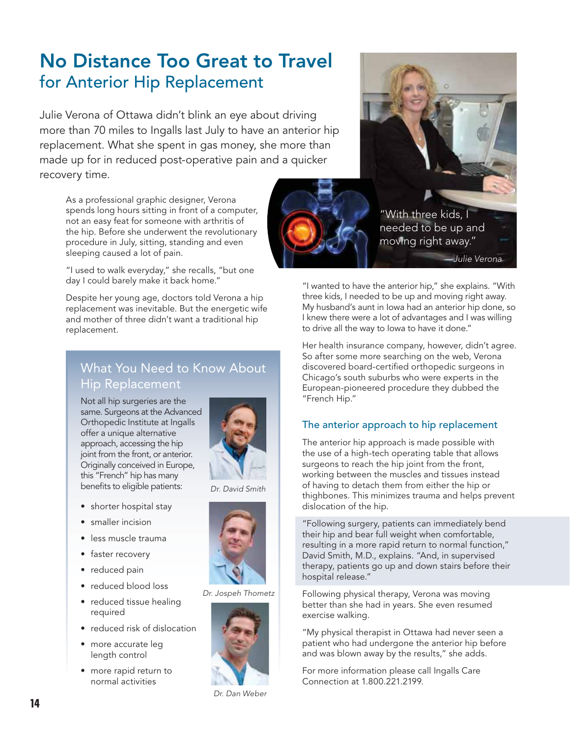## No Distance Too Great to Travel for Anterior Hip Replacement

Julie Verona of Ottawa didn't blink an eye about driving more than 70 miles to Ingalls last July to have an anterior hip replacement. What she spent in gas money, she more than made up for in reduced post-operative pain and a quicker recovery time.

As a professional graphic designer, Verona spends long hours sitting in front of a computer, not an easy feat for someone with arthritis of the hip. Before she underwent the revolutionary procedure in July, sitting, standing and even sleeping caused a lot of pain.

"I used to walk everyday," she recalls, "but one day I could barely make it back home."

Despite her young age, doctors told Verona a hip replacement was inevitable. But the energetic wife and mother of three didn't want a traditional hip replacement.

## What You Need to Know About Hip Replacement

Not all hip surgeries are the same. Surgeons at the Advanced Orthopedic Institute at Ingalls offer a unique alternative approach, accessing the hip joint from the front, or anterior. Originally conceived in Europe, this "French" hip has many benefits to eligible patients:



- shorter hospital stay
- smaller incision
- less muscle trauma
- faster recovery
- reduced pain
- reduced blood loss
- reduced tissue healing required
- reduced risk of dislocation
- more accurate leg length control
- more rapid return to normal activities

*Dr. David Smith*



#### *Dr. Jospeh Thometz*



*Dr. Dan Weber*



"I wanted to have the anterior hip," she explains. "With three kids, I needed to be up and moving right away. My husband's aunt in Iowa had an anterior hip done, so I knew there were a lot of advantages and I was willing to drive all the way to Iowa to have it done."

Her health insurance company, however, didn't agree. So after some more searching on the web, Verona discovered board-certified orthopedic surgeons in Chicago's south suburbs who were experts in the European-pioneered procedure they dubbed the "French Hip."

### The anterior approach to hip replacement

The anterior hip approach is made possible with the use of a high-tech operating table that allows surgeons to reach the hip joint from the front, working between the muscles and tissues instead of having to detach them from either the hip or thighbones. This minimizes trauma and helps prevent dislocation of the hip.

"Following surgery, patients can immediately bend their hip and bear full weight when comfortable, resulting in a more rapid return to normal function," David Smith, M.D., explains. "And, in supervised therapy, patients go up and down stairs before their hospital release."

Following physical therapy, Verona was moving better than she had in years. She even resumed exercise walking.

"My physical therapist in Ottawa had never seen a patient who had undergone the anterior hip before and was blown away by the results," she adds.

For more information please call Ingalls Care Connection at 1.800.221.2199.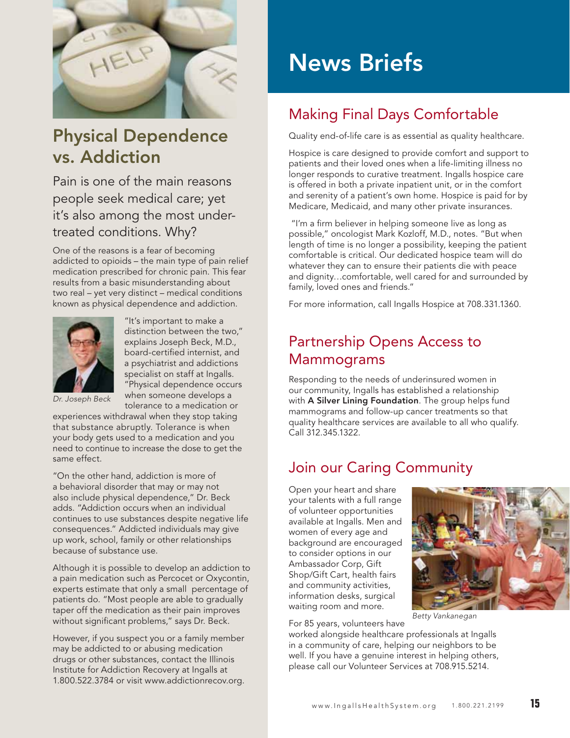

## Physical Dependence vs. Addiction

Pain is one of the main reasons people seek medical care; yet it's also among the most undertreated conditions. Why?

One of the reasons is a fear of becoming addicted to opioids – the main type of pain relief medication prescribed for chronic pain. This fear results from a basic misunderstanding about two real – yet very distinct – medical conditions known as physical dependence and addiction.



"It's important to make a distinction between the two," explains Joseph Beck, M.D., board-certified internist, and a psychiatrist and addictions specialist on staff at Ingalls. "Physical dependence occurs when someone develops a tolerance to a medication or

*Dr. Joseph Beck*

experiences withdrawal when they stop taking that substance abruptly. Tolerance is when your body gets used to a medication and you need to continue to increase the dose to get the same effect.

"On the other hand, addiction is more of a behavioral disorder that may or may not also include physical dependence," Dr. Beck adds. "Addiction occurs when an individual continues to use substances despite negative life consequences." Addicted individuals may give up work, school, family or other relationships because of substance use.

Although it is possible to develop an addiction to a pain medication such as Percocet or Oxycontin, experts estimate that only a small percentage of patients do. "Most people are able to gradually taper off the medication as their pain improves without significant problems," says Dr. Beck.

However, if you suspect you or a family member may be addicted to or abusing medication drugs or other substances, contact the Illinois Institute for Addiction Recovery at Ingalls at 1.800.522.3784 or visit www.addictionrecov.org.

# News Briefs

## Making Final Days Comfortable

Quality end-of-life care is as essential as quality healthcare.

Hospice is care designed to provide comfort and support to patients and their loved ones when a life-limiting illness no longer responds to curative treatment. Ingalls hospice care is offered in both a private inpatient unit, or in the comfort and serenity of a patient's own home. Hospice is paid for by Medicare, Medicaid, and many other private insurances.

"I'm a firm believer in helping someone live as long as possible," oncologist Mark Kozloff, M.D., notes. "But when length of time is no longer a possibility, keeping the patient comfortable is critical. Our dedicated hospice team will do whatever they can to ensure their patients die with peace and dignity…comfortable, well cared for and surrounded by family, loved ones and friends."

For more information, call Ingalls Hospice at 708.331.1360.

## Partnership Opens Access to Mammograms

Responding to the needs of underinsured women in our community, Ingalls has established a relationship with **A Silver Lining Foundation**. The group helps fund mammograms and follow-up cancer treatments so that quality healthcare services are available to all who qualify. Call 312.345.1322.

## Join our Caring Community

Open your heart and share your talents with a full range of volunteer opportunities available at Ingalls. Men and women of every age and background are encouraged to consider options in our Ambassador Corp, Gift Shop/Gift Cart, health fairs and community activities, information desks, surgical waiting room and more.



For 85 years, volunteers have

worked alongside healthcare professionals at Ingalls in a community of care, helping our neighbors to be well. If you have a genuine interest in helping others, please call our Volunteer Services at 708.915.5214.